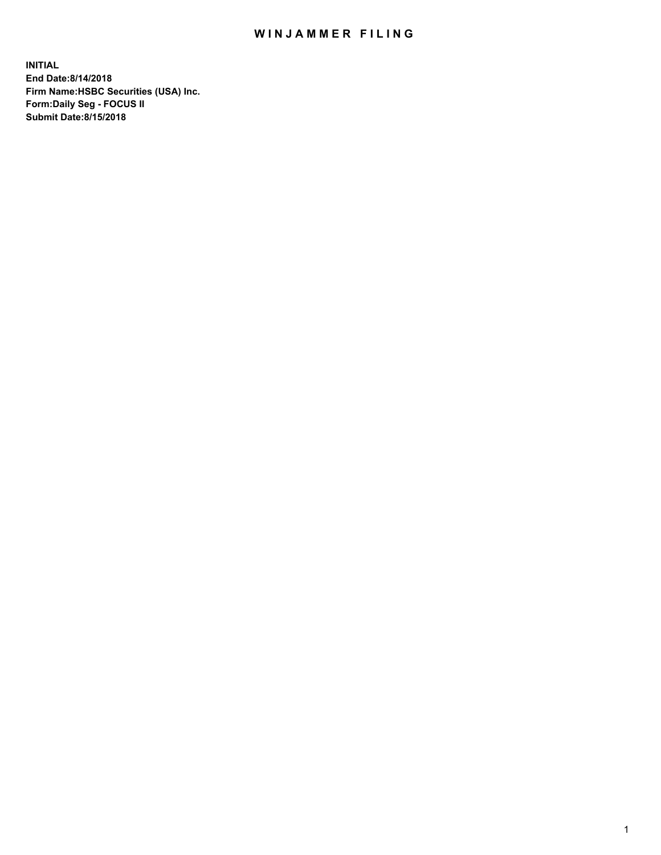## WIN JAMMER FILING

**INITIAL End Date:8/14/2018 Firm Name:HSBC Securities (USA) Inc. Form:Daily Seg - FOCUS II Submit Date:8/15/2018**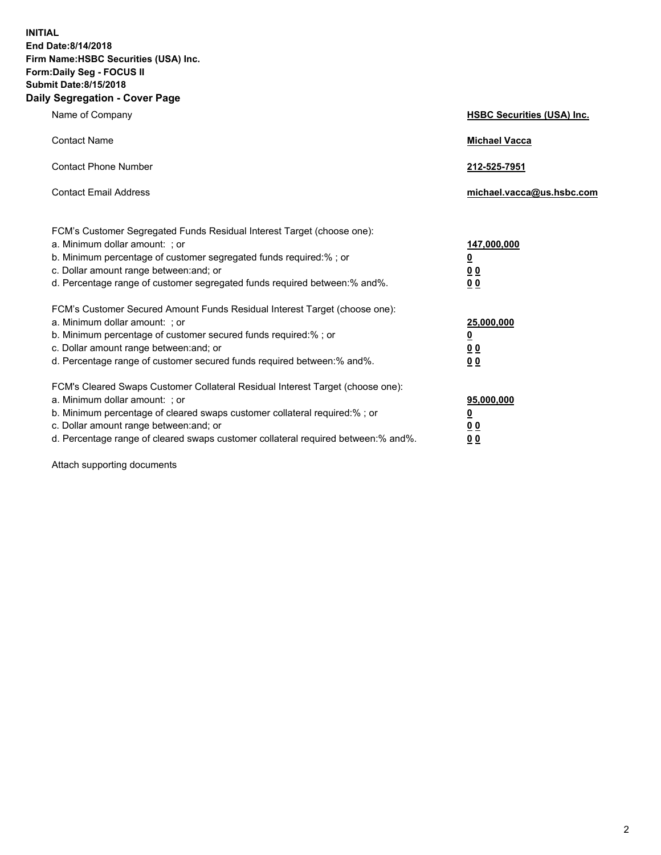**INITIAL End Date:8/14/2018 Firm Name:HSBC Securities (USA) Inc. Form:Daily Seg - FOCUS II Submit Date:8/15/2018 Daily Segregation - Cover Page**

| Name of Company                                                                                                                                                                                                                                                                                                                | <b>HSBC Securities (USA) Inc.</b>                                          |
|--------------------------------------------------------------------------------------------------------------------------------------------------------------------------------------------------------------------------------------------------------------------------------------------------------------------------------|----------------------------------------------------------------------------|
| <b>Contact Name</b>                                                                                                                                                                                                                                                                                                            | <b>Michael Vacca</b>                                                       |
| <b>Contact Phone Number</b>                                                                                                                                                                                                                                                                                                    | 212-525-7951                                                               |
| <b>Contact Email Address</b>                                                                                                                                                                                                                                                                                                   | michael.vacca@us.hsbc.com                                                  |
| FCM's Customer Segregated Funds Residual Interest Target (choose one):<br>a. Minimum dollar amount: : or<br>b. Minimum percentage of customer segregated funds required:% ; or<br>c. Dollar amount range between: and; or<br>d. Percentage range of customer segregated funds required between:% and%.                         | 147,000,000<br>$\overline{\mathbf{0}}$<br>0 <sub>0</sub><br>0 <sub>0</sub> |
| FCM's Customer Secured Amount Funds Residual Interest Target (choose one):<br>a. Minimum dollar amount: ; or<br>b. Minimum percentage of customer secured funds required:%; or<br>c. Dollar amount range between: and; or<br>d. Percentage range of customer secured funds required between:% and%.                            | 25,000,000<br><u>0</u><br>0 <sub>0</sub><br>00                             |
| FCM's Cleared Swaps Customer Collateral Residual Interest Target (choose one):<br>a. Minimum dollar amount: ; or<br>b. Minimum percentage of cleared swaps customer collateral required:% ; or<br>c. Dollar amount range between: and; or<br>d. Percentage range of cleared swaps customer collateral required between:% and%. | 95,000,000<br><u>0</u><br>00<br>0 <sub>0</sub>                             |

Attach supporting documents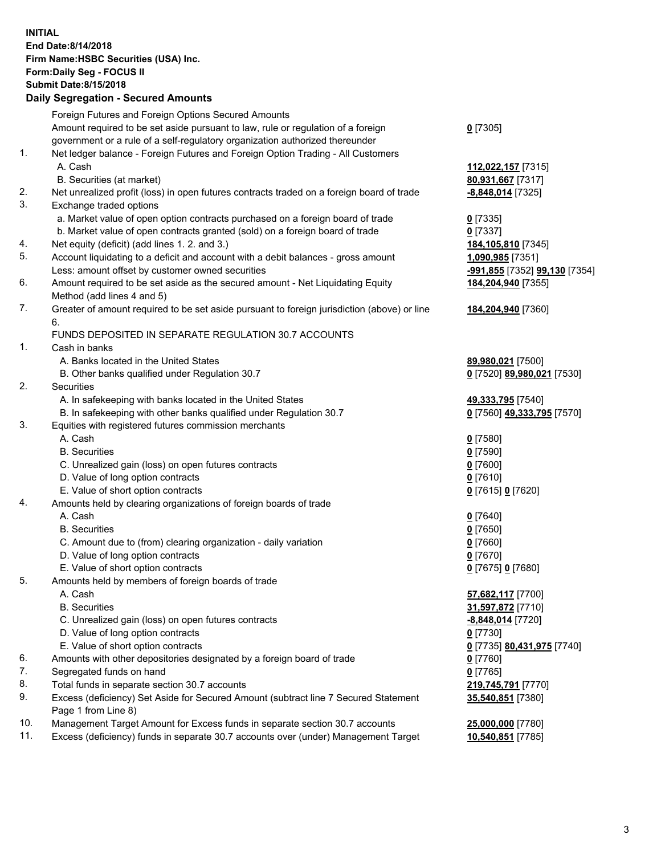**INITIAL End Date:8/14/2018 Firm Name:HSBC Securities (USA) Inc. Form:Daily Seg - FOCUS II Submit Date:8/15/2018 Daily Segregation - Secured Amounts**

Foreign Futures and Foreign Options Secured Amounts Amount required to be set aside pursuant to law, rule or regulation of a foreign government or a rule of a self-regulatory organization authorized thereunder **0** [7305] 1. Net ledger balance - Foreign Futures and Foreign Option Trading - All Customers A. Cash **112,022,157** [7315] B. Securities (at market) **80,931,667** [7317] 2. Net unrealized profit (loss) in open futures contracts traded on a foreign board of trade **-8,848,014** [7325] 3. Exchange traded options a. Market value of open option contracts purchased on a foreign board of trade **0** [7335] b. Market value of open contracts granted (sold) on a foreign board of trade **0** [7337] 4. Net equity (deficit) (add lines 1. 2. and 3.) **184,105,810** [7345] 5. Account liquidating to a deficit and account with a debit balances - gross amount **1,090,985** [7351] Less: amount offset by customer owned securities **-991,855** [7352] **99,130** [7354] 6. Amount required to be set aside as the secured amount - Net Liquidating Equity Method (add lines 4 and 5) **184,204,940** [7355] 7. Greater of amount required to be set aside pursuant to foreign jurisdiction (above) or line 6. **184,204,940** [7360] FUNDS DEPOSITED IN SEPARATE REGULATION 30.7 ACCOUNTS 1. Cash in banks A. Banks located in the United States **89,980,021** [7500] B. Other banks qualified under Regulation 30.7 **0** [7520] **89,980,021** [7530] 2. Securities A. In safekeeping with banks located in the United States **49,333,795** [7540] B. In safekeeping with other banks qualified under Regulation 30.7 **0** [7560] **49,333,795** [7570] 3. Equities with registered futures commission merchants A. Cash **0** [7580] B. Securities **0** [7590] C. Unrealized gain (loss) on open futures contracts **0** [7600] D. Value of long option contracts **0** [7610] E. Value of short option contracts **0** [7615] **0** [7620] 4. Amounts held by clearing organizations of foreign boards of trade A. Cash **0** [7640] B. Securities **0** [7650] C. Amount due to (from) clearing organization - daily variation **0** [7660] D. Value of long option contracts **0** [7670] E. Value of short option contracts **0** [7675] **0** [7680] 5. Amounts held by members of foreign boards of trade A. Cash **57,682,117** [7700] B. Securities **31,597,872** [7710] C. Unrealized gain (loss) on open futures contracts **-8,848,014** [7720] D. Value of long option contracts **0** [7730] E. Value of short option contracts **0** [7735] **80,431,975** [7740] 6. Amounts with other depositories designated by a foreign board of trade **0** [7760] 7. Segregated funds on hand **0** [7765] 8. Total funds in separate section 30.7 accounts **219,745,791** [7770] 9. Excess (deficiency) Set Aside for Secured Amount (subtract line 7 Secured Statement Page 1 from Line 8) **35,540,851** [7380] 10. Management Target Amount for Excess funds in separate section 30.7 accounts **25,000,000** [7780] 11. Excess (deficiency) funds in separate 30.7 accounts over (under) Management Target **10,540,851** [7785]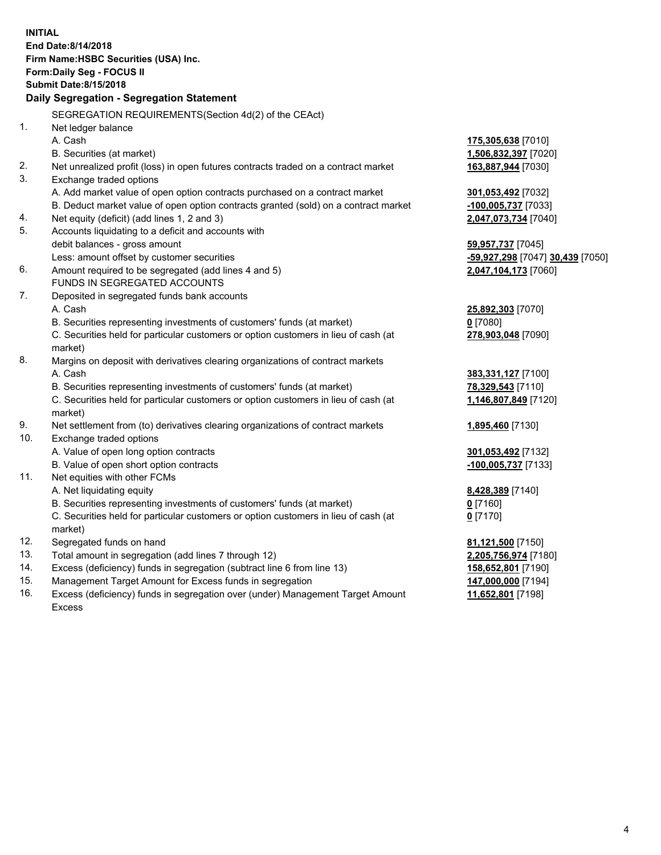**INITIAL End Date:8/14/2018 Firm Name:HSBC Securities (USA) Inc. Form:Daily Seg - FOCUS II Submit Date:8/15/2018 Daily Segregation - Segregation Statement** SEGREGATION REQUIREMENTS(Section 4d(2) of the CEAct) 1. Net ledger balance A. Cash **175,305,638** [7010] B. Securities (at market) **1,506,832,397** [7020] 2. Net unrealized profit (loss) in open futures contracts traded on a contract market **163,887,944** [7030] 3. Exchange traded options A. Add market value of open option contracts purchased on a contract market **301,053,492** [7032] B. Deduct market value of open option contracts granted (sold) on a contract market **-100,005,737** [7033] 4. Net equity (deficit) (add lines 1, 2 and 3) **2,047,073,734** [7040] 5. Accounts liquidating to a deficit and accounts with debit balances - gross amount **59,957,737** [7045] Less: amount offset by customer securities **-59,927,298** [7047] **30,439** [7050] 6. Amount required to be segregated (add lines 4 and 5) **2,047,104,173** [7060] FUNDS IN SEGREGATED ACCOUNTS 7. Deposited in segregated funds bank accounts A. Cash **25,892,303** [7070] B. Securities representing investments of customers' funds (at market) **0** [7080] C. Securities held for particular customers or option customers in lieu of cash (at market) **278,903,048** [7090] 8. Margins on deposit with derivatives clearing organizations of contract markets A. Cash **383,331,127** [7100] B. Securities representing investments of customers' funds (at market) **78,329,543** [7110] C. Securities held for particular customers or option customers in lieu of cash (at market) **1,146,807,849** [7120] 9. Net settlement from (to) derivatives clearing organizations of contract markets **1,895,460** [7130] 10. Exchange traded options A. Value of open long option contracts **301,053,492** [7132] B. Value of open short option contracts **-100,005,737** [7133] 11. Net equities with other FCMs A. Net liquidating equity **8,428,389** [7140] B. Securities representing investments of customers' funds (at market) **0** [7160] C. Securities held for particular customers or option customers in lieu of cash (at market) **0** [7170] 12. Segregated funds on hand **81,121,500** [7150] 13. Total amount in segregation (add lines 7 through 12) **2,205,756,974** [7180] 14. Excess (deficiency) funds in segregation (subtract line 6 from line 13) **158,652,801** [7190] 15. Management Target Amount for Excess funds in segregation **147,000,000** [7194] 16. Excess (deficiency) funds in segregation over (under) Management Target Amount **11,652,801** [7198]

Excess